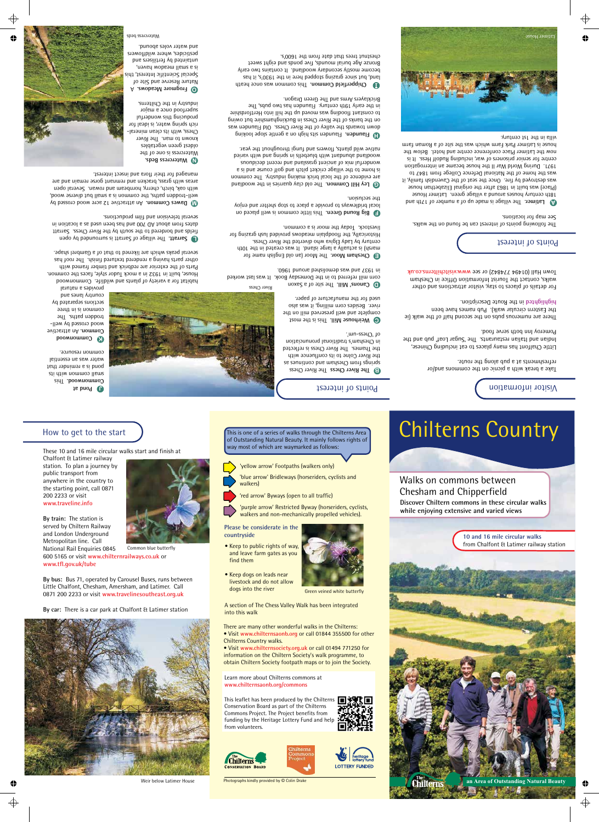# How to get to the start

#### These 10 and 16 mile circular walks start and finish at

Chalfont & Latimer railway station. To plan a journey by public transport from anywhere in the country to the starting point, call 0871 200 2233 or visit **www.traveline.info**

**By train:** The station is served by Chiltern Railway and London Underground Metropolitan line. Call National Rail Enquiries 0845

Common blue butterfly

600 5165 or visit www.chilternrailways.co.uk or **www.tfl.gov.uk/tube** 

**By bus:** Bus 71, operated by Carousel Buses, runs between Little Chalfont, Chesham, Amersham, and Latimer. Call 0871 200 2233 or visit **www.travelinesoutheast.org.uk** 

**By car:** There is a car park at Chalfont & Latimer station



Weir below Latimer House

This is one of a series of walks through the Chilterns Area of Outstanding Natural Beauty. It mainly follows rights of way most of which are waymarked as follows:

'yellow arrow' Footpaths (walkers only)

'blue arrow' Bridleways (horseriders, cyclists and walkers)

'red arrow' Byways (open to all traffic)

'purple arrow' Restricted Byway (horseriders, cyclists, walkers and non-mechanically propelled vehicles).

**Please be considerate in the countryside**

- Keep to public rights of way, and leave farm gates as you find them
- Keep dogs on leads near livestock and do not allow dogs into the river



Green veined white butterfly

 A section of The Chess Valley Walk has been integrated into this walk

There are many other wonderful walks in the Chilterns: • Visit www.chilternsaonb.org or call 01844 355500 for other Chilterns Country walks.

• Visit www.chilternsociety.org.uk or call 01494 771250 for information on the Chiltern Society's walk programme, to obtain Chiltern Society footpath maps or to join the Society.

hiltern

Learn more about Chilterns commons at **www.chilternsaonb.org/commons**

This leaflet has been produced by the Chilterns Conservation Board as part of the Chilterns Commons Project. The Project benefits from funding by the Heritage Lottery Fund and help from volunteers.



**LOTTERY FUNDED** 



Photographs kindly provided by © Colin Drake

# Chilterns Country

Walks on commons between Chesham and Chipperfield **Discover Chiltern commons in these circular walks while enjoying extensive and varied views**

> **10 and 16 mile circular walks** from Chalfont & Latimer railway station

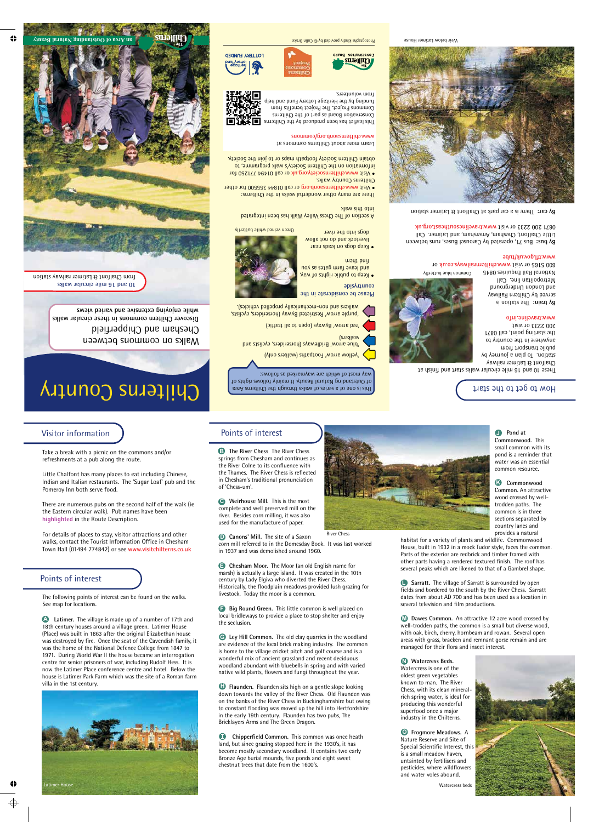## Visitor information

Take a break with a picnic on the commons and/or refreshments at a pub along the route.

Little Chalfont has many places to eat including Chinese, Indian and Italian restaurants. The 'Sugar Loaf' pub and the Pomeroy Inn both serve food.

There are numerous pubs on the second half of the walk (ie the Eastern circular walk). Pub names have been highlighted in the Route Description.

For details of places to stay, visitor attractions and other walks, contact the Tourist Information Office in Chesham Town Hall (01494 774842) or see **www.visitchilterns.co.uk**

### Points of interest

The following points of interest can be found on the walks. See map for locations.

**A Latimer.** The village is made up of a number of 17th and 18th century houses around a village green. Latimer House (Place) was built in 1863 after the original Elizabethan house was destroyed by fire. Once the seat of the Cavendish family, it was the home of the National Defence College from 1847 to 1971. During World War II the house became an interrogation centre for senior prisoners of war, including Rudolf Hess. It is now the Latimer Place conference centre and hotel. Below the house is Latimer Park Farm which was the site of a Roman farm villa in the 1st century.



# Points of interest

**B** The River Chess The River Chess springs from Chesham and continues as the River Colne to its confluence with the Thames. The River Chess is reflected in Chesham's traditional pronunciation of 'Chess-um'.

**Weirhouse Mill.** This is the most **C** complete and well preserved mill on the river. Besides corn milling, it was also used for the manufacture of paper.

**D** Canons' Mill. The site of a Saxon

corn mill referred to in the Domesday Book. It was last worked in 1937 and was demolished around 1960.

**E** Chesham Moor. The Moor (an old English name for marsh) is actually a large island. It was created in the 10th century by Lady Elgiva who diverted the River Chess. Historically, the floodplain meadows provided lush grazing for livestock. Today the moor is a common.

**Big Round Green.** This little common is well placed on local bridleways to provide a place to stop shelter and enjoy the seclusion.

**Ley Hill Common.** The old clay quarries in the woodland **G** are evidence of the local brick making industry. The common is home to the village cricket pitch and golf course and is a wonderful mix of ancient grassland and recent deciduous woodland abundant with bluebells in spring and with varied native wild plants, flowers and fungi throughout the year.

**G** Flaunden. Flaunden sits high on a gentle slope looking down towards the valley of the River Chess. Old Flaunden was on the banks of the River Chess in Buckinghamshire but owing to constant flooding was moved up the hill into Hertfordshire in the early 19th century. Flaunden has two pubs, The Bricklayers Arms and The Green Dragon.

 **Chipperfield Common.** This common was once heath land, but since grazing stopped here in the 1930's, it has become mostly secondary woodland. It contains two early Bronze Age burial mounds, five ponds and eight sweet chestnut trees that date from the 1600's. **I**



River Chess

habitat for a variety of plants and wildlife. Commonwood House, built in 1932 in a mock Tudor style, faces the common. Parts of the exterior are redbrick and timber framed with other parts having a rendered textured finish. The roof has several peaks which are likened to that of a Gambrel shape.

**Sarratt.** The village of Sarratt is surrounded by open **L** fields and bordered to the south by the River Chess. Sarratt dates from about AD 700 and has been used as a location in several television and film productions.

**Dawes Common.** An attractive 12 acre wood crossed by well-trodden paths, the common is a small but diverse wood, with oak, birch, cherry, hornbeam and rowan. Several open areas with grass, bracken and remnant gorse remain and are managed for their flora and insect interest.

**Watercress Beds.** Watercress is one of the oldest green vegetables known to man. The River Chess, with its clean mineralrich spring water, is ideal for producing this wonderful superfood once a major industry in the Chilterns.

**Frogmore Meadows.** A **O** Nature Reserve and Site of Special Scientific Interest, this is a small meadow haven, untainted by fertilisers and pesticides, where wildflowers and water voles abound.



## **J Pond at**

**Commonwood.** This small common with its pond is a reminder that water was an essential common resource.

 **Commonwood K**

**Common.** An attractive wood crossed by welltrodden paths. The common is in three sections separated by country lanes and provides a natural

Watercress beds